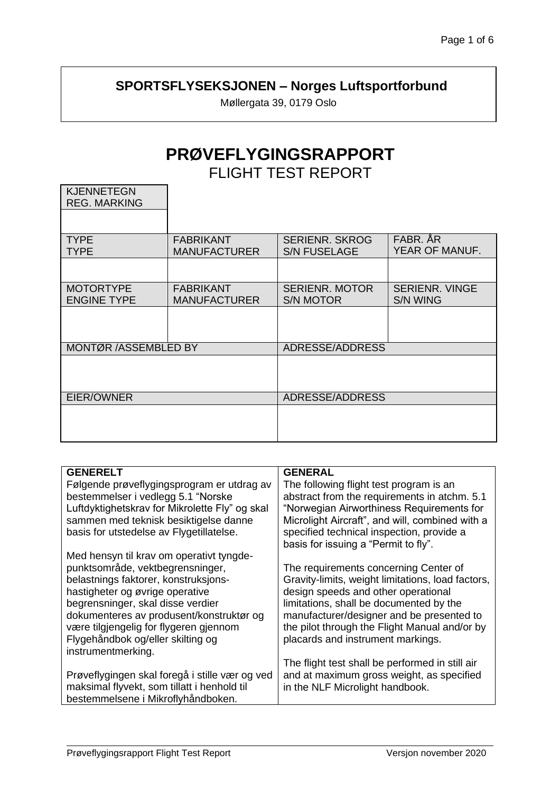## **SPORTSFLYSEKSJONEN – Norges Luftsportforbund**

Møllergata 39, 0179 Oslo

# **PRØVEFLYGINGSRAPPORT**

FLIGHT TEST REPORT

| <b>KJENNETEGN</b><br><b>REG. MARKING</b> |                                         |                                              |                                          |  |
|------------------------------------------|-----------------------------------------|----------------------------------------------|------------------------------------------|--|
|                                          |                                         |                                              |                                          |  |
| <b>TYPE</b><br><b>TYPE</b>               | <b>FABRIKANT</b><br><b>MANUFACTURER</b> | <b>SERIENR, SKROG</b><br><b>S/N FUSELAGE</b> | FABR. ÅR<br>YEAR OF MANUF.               |  |
|                                          |                                         |                                              |                                          |  |
| <b>MOTORTYPE</b><br><b>ENGINE TYPE</b>   | <b>FABRIKANT</b><br><b>MANUFACTURER</b> | <b>SERIENR. MOTOR</b><br><b>S/N MOTOR</b>    | <b>SERIENR. VINGE</b><br><b>S/N WING</b> |  |
|                                          |                                         |                                              |                                          |  |
| MONTØR / ASSEMBLED BY                    |                                         | ADRESSE/ADDRESS                              |                                          |  |
|                                          |                                         |                                              |                                          |  |
| EIER/OWNER                               |                                         | ADRESSE/ADDRESS                              |                                          |  |
|                                          |                                         |                                              |                                          |  |

| <b>GENERELT</b>                                | <b>GENERAL</b>                                    |
|------------------------------------------------|---------------------------------------------------|
| Følgende prøveflygingsprogram er utdrag av     | The following flight test program is an           |
| bestemmelser i vedlegg 5.1 "Norske             | abstract from the requirements in atchm. 5.1      |
| Luftdyktighetskrav for Mikrolette Fly" og skal | "Norwegian Airworthiness Requirements for         |
| sammen med teknisk besiktigelse danne          | Microlight Aircraft", and will, combined with a   |
| basis for utstedelse av Flygetillatelse.       | specified technical inspection, provide a         |
|                                                | basis for issuing a "Permit to fly".              |
| Med hensyn til krav om operativt tyngde-       |                                                   |
| punktsområde, vektbegrensninger,               | The requirements concerning Center of             |
| belastnings faktorer, konstruksjons-           | Gravity-limits, weight limitations, load factors, |
| hastigheter og øvrige operative                | design speeds and other operational               |
| begrensninger, skal disse verdier              | limitations, shall be documented by the           |
| dokumenteres av produsent/konstruktør og       | manufacturer/designer and be presented to         |
| være tilgjengelig for flygeren gjennom         | the pilot through the Flight Manual and/or by     |
| Flygehåndbok og/eller skilting og              | placards and instrument markings.                 |
| instrumentmerking.                             |                                                   |
|                                                | The flight test shall be performed in still air   |
| Prøveflygingen skal foregå i stille vær og ved | and at maximum gross weight, as specified         |
| maksimal flyvekt, som tillatt i henhold til    | in the NLF Microlight handbook.                   |
| bestemmelsene i Mikroflyhåndboken.             |                                                   |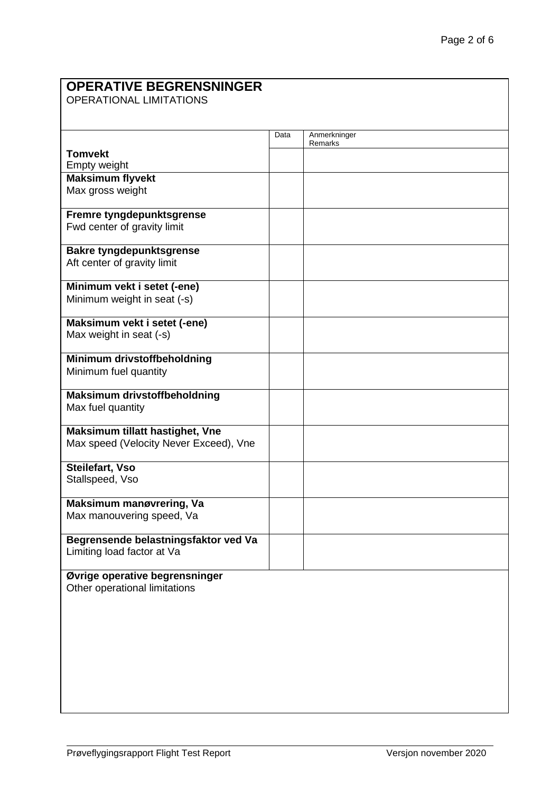| <b>OPERATIVE BEGRENSNINGER</b><br><b>OPERATIONAL LIMITATIONS</b>          |      |              |  |  |
|---------------------------------------------------------------------------|------|--------------|--|--|
|                                                                           | Data | Anmerkninger |  |  |
| <b>Tomvekt</b>                                                            |      | Remarks      |  |  |
| Empty weight                                                              |      |              |  |  |
| <b>Maksimum flyvekt</b>                                                   |      |              |  |  |
| Max gross weight                                                          |      |              |  |  |
| Fremre tyngdepunktsgrense<br>Fwd center of gravity limit                  |      |              |  |  |
| <b>Bakre tyngdepunktsgrense</b><br>Aft center of gravity limit            |      |              |  |  |
| Minimum vekt i setet (-ene)                                               |      |              |  |  |
| Minimum weight in seat (-s)                                               |      |              |  |  |
| Maksimum vekt i setet (-ene)<br>Max weight in seat (-s)                   |      |              |  |  |
| Minimum drivstoffbeholdning<br>Minimum fuel quantity                      |      |              |  |  |
| <b>Maksimum drivstoffbeholdning</b><br>Max fuel quantity                  |      |              |  |  |
| Maksimum tillatt hastighet, Vne<br>Max speed (Velocity Never Exceed), Vne |      |              |  |  |
| Steilefart, Vso<br>Stallspeed, Vso                                        |      |              |  |  |
| Maksimum manøvrering, Va<br>Max manouvering speed, Va                     |      |              |  |  |
| Begrensende belastningsfaktor ved Va<br>Limiting load factor at Va        |      |              |  |  |
| Øvrige operative begrensninger<br>Other operational limitations           |      |              |  |  |
|                                                                           |      |              |  |  |
|                                                                           |      |              |  |  |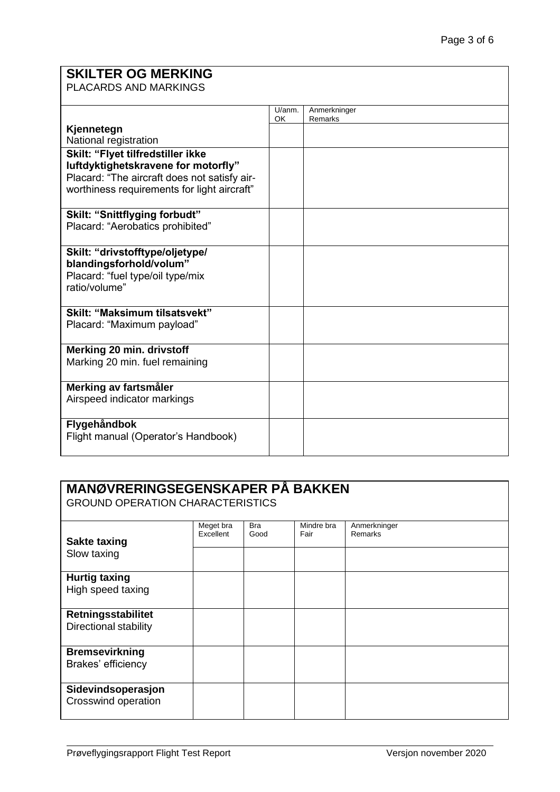## **SKILTER OG MERKING**

PLACARDS AND MARKINGS

|                                              | U/anm. | Anmerkninger |
|----------------------------------------------|--------|--------------|
|                                              | OK     | Remarks      |
| Kjennetegn                                   |        |              |
| National registration                        |        |              |
| Skilt: "Flyet tilfredstiller ikke            |        |              |
| luftdyktighetskravene for motorfly"          |        |              |
| Placard: "The aircraft does not satisfy air- |        |              |
| worthiness requirements for light aircraft"  |        |              |
|                                              |        |              |
| Skilt: "Snittflyging forbudt"                |        |              |
| Placard: "Aerobatics prohibited"             |        |              |
|                                              |        |              |
| Skilt: "drivstofftype/oljetype/              |        |              |
| blandingsforhold/volum"                      |        |              |
| Placard: "fuel type/oil type/mix             |        |              |
| ratio/volume"                                |        |              |
|                                              |        |              |
| <b>Skilt: "Maksimum tilsatsvekt"</b>         |        |              |
| Placard: "Maximum payload"                   |        |              |
|                                              |        |              |
| Merking 20 min. drivstoff                    |        |              |
| Marking 20 min. fuel remaining               |        |              |
|                                              |        |              |
| Merking av fartsmåler                        |        |              |
| Airspeed indicator markings                  |        |              |
|                                              |        |              |
| Flygehåndbok                                 |        |              |
| Flight manual (Operator's Handbook)          |        |              |
|                                              |        |              |

#### **MANØVRERINGSEGENSKAPER PÅ BAKKEN**

GROUND OPERATION CHARACTERISTICS

| <b>Sakte taxing</b><br>Slow taxing          | Meget bra<br>Excellent | <b>Bra</b><br>Good | Mindre bra<br>Fair | Anmerkninger<br>Remarks |
|---------------------------------------------|------------------------|--------------------|--------------------|-------------------------|
| <b>Hurtig taxing</b><br>High speed taxing   |                        |                    |                    |                         |
| Retningsstabilitet<br>Directional stability |                        |                    |                    |                         |
| <b>Bremsevirkning</b><br>Brakes' efficiency |                        |                    |                    |                         |
| Sidevindsoperasjon<br>Crosswind operation   |                        |                    |                    |                         |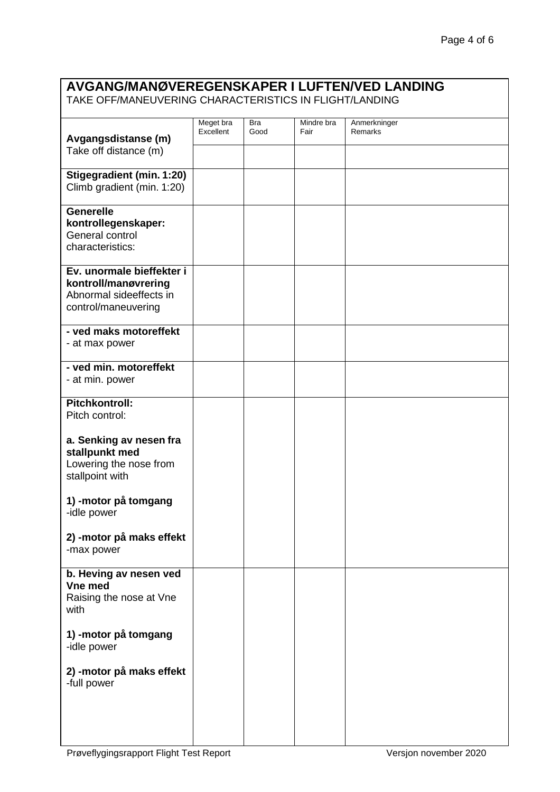## **AVGANG/MANØVEREGENSKAPER I LUFTEN/VED LANDING**

TAKE OFF/MANEUVERING CHARACTERISTICS IN FLIGHT/LANDING

| Avgangsdistanse (m)                                            | Meget bra<br>Excellent | <b>Bra</b><br>Good | Mindre bra<br>Fair | Anmerkninger<br>Remarks |
|----------------------------------------------------------------|------------------------|--------------------|--------------------|-------------------------|
| Take off distance (m)                                          |                        |                    |                    |                         |
| <b>Stigegradient (min. 1:20)</b><br>Climb gradient (min. 1:20) |                        |                    |                    |                         |
| <b>Generelle</b>                                               |                        |                    |                    |                         |
| kontrollegenskaper:<br>General control<br>characteristics:     |                        |                    |                    |                         |
| Ev. unormale bieffekter i                                      |                        |                    |                    |                         |
| kontroll/manøvrering                                           |                        |                    |                    |                         |
| Abnormal sideeffects in                                        |                        |                    |                    |                         |
| control/maneuvering                                            |                        |                    |                    |                         |
| - ved maks motoreffekt                                         |                        |                    |                    |                         |
| - at max power                                                 |                        |                    |                    |                         |
| - ved min. motoreffekt                                         |                        |                    |                    |                         |
| - at min. power                                                |                        |                    |                    |                         |
| <b>Pitchkontroll:</b>                                          |                        |                    |                    |                         |
| Pitch control:                                                 |                        |                    |                    |                         |
| a. Senking av nesen fra                                        |                        |                    |                    |                         |
| stallpunkt med                                                 |                        |                    |                    |                         |
| Lowering the nose from                                         |                        |                    |                    |                         |
| stallpoint with                                                |                        |                    |                    |                         |
| 1) -motor på tomgang                                           |                        |                    |                    |                         |
| -idle power                                                    |                        |                    |                    |                         |
| 2) - motor på maks effekt<br>-max power                        |                        |                    |                    |                         |
| b. Heving av nesen ved                                         |                        |                    |                    |                         |
| Vne med                                                        |                        |                    |                    |                         |
| Raising the nose at Vne<br>with                                |                        |                    |                    |                         |
| 1) - motor på tomgang                                          |                        |                    |                    |                         |
| -idle power                                                    |                        |                    |                    |                         |
| 2) - motor på maks effekt<br>-full power                       |                        |                    |                    |                         |
|                                                                |                        |                    |                    |                         |
|                                                                |                        |                    |                    |                         |
|                                                                |                        |                    |                    |                         |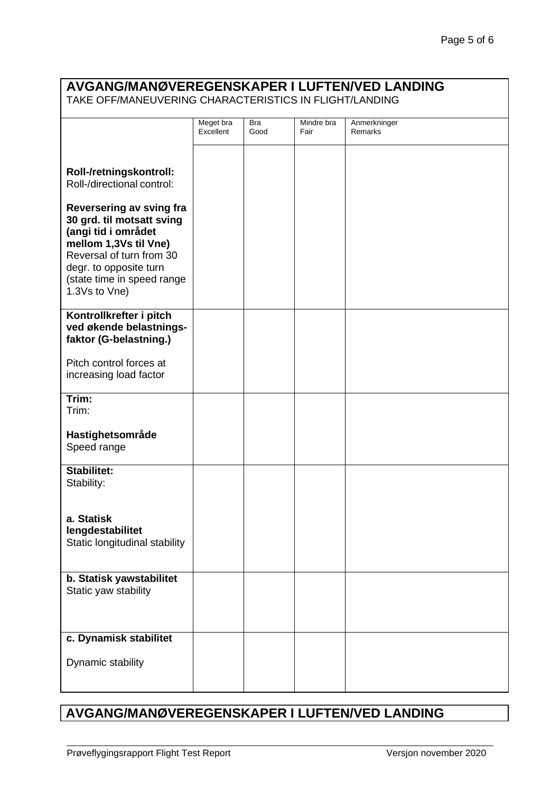### **AVGANG/MANØVEREGENSKAPER I LUFTEN/VED LANDING** TAKE OFF/MANEUVERING CHARACTERISTICS IN FLIGHT/LANDING **Roll-/retningskontroll:** Roll-/directional control: **Reversering av sving fra 30 grd. til motsatt sving (angi tid i området mellom 1,3Vs til Vne)**  Reversal of turn from 30 degr. to opposite turn (state time in speed range 1.3Vs to Vne) Meget bra **Excellent** Bra Good Mindre bra Fair Anmerkninger Remarks **Kontrollkrefter i pitch ved økende belastningsfaktor (G-belastning.)** Pitch control forces at increasing load factor **Trim:** Trim: **Hastighetsområde** Speed range **Stabilitet:** Stability: **a. Statisk lengdestabilitet** Static longitudinal stability **b. Statisk yawstabilitet** Static yaw stability **c. Dynamisk stabilitet** Dynamic stability

#### **AVGANG/MANØVEREGENSKAPER I LUFTEN/VED LANDING**